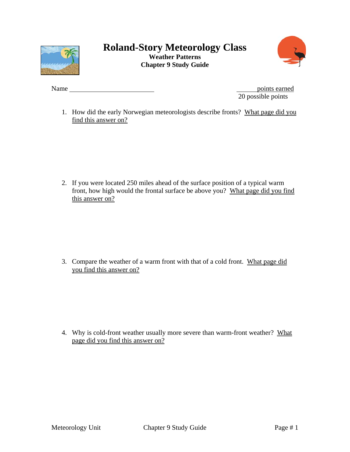



Name points earned 20 possible points

1. How did the early Norwegian meteorologists describe fronts? What page did you find this answer on?

2. If you were located 250 miles ahead of the surface position of a typical warm front, how high would the frontal surface be above you? What page did you find this answer on?

3. Compare the weather of a warm front with that of a cold front. What page did you find this answer on?

4. Why is cold-front weather usually more severe than warm-front weather? What page did you find this answer on?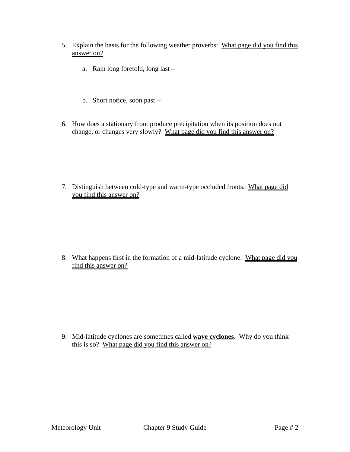- 5. Explain the basis for the following weather proverbs: What page did you find this answer on?
	- a. Rain long foretold, long last –
	- b. Short notice, soon past --
- 6. How does a stationary front produce precipitation when its position does not change, or changes very slowly? What page did you find this answer on?

7. Distinguish between cold-type and warm-type occluded fronts. What page did you find this answer on?

8. What happens first in the formation of a mid-latitude cyclone. What page did you find this answer on?

9. Mid-latitude cyclones are sometimes called **wave cyclones**. Why do you think this is so? What page did you find this answer on?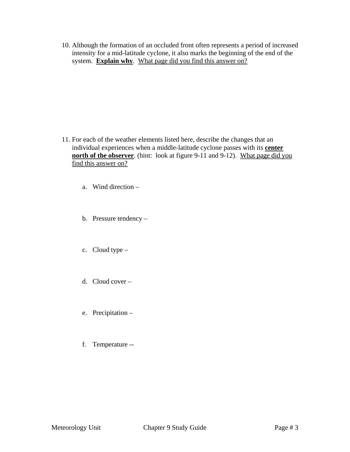10. Although the formation of an occluded front often represents a period of increased intensity for a mid-latitude cyclone, it also marks the beginning of the end of the system. **Explain why**. What page did you find this answer on?

- 11. For each of the weather elements listed here, describe the changes that an individual experiences when a middle-latitude cyclone passes with its **center north of the observer**. (hint: look at figure 9-11 and 9-12). What page did you find this answer on?
	- a. Wind direction –
	- b. Pressure tendency –
	- c. Cloud type –
	- d. Cloud cover –
	- e. Precipitation –
	- f. Temperature --